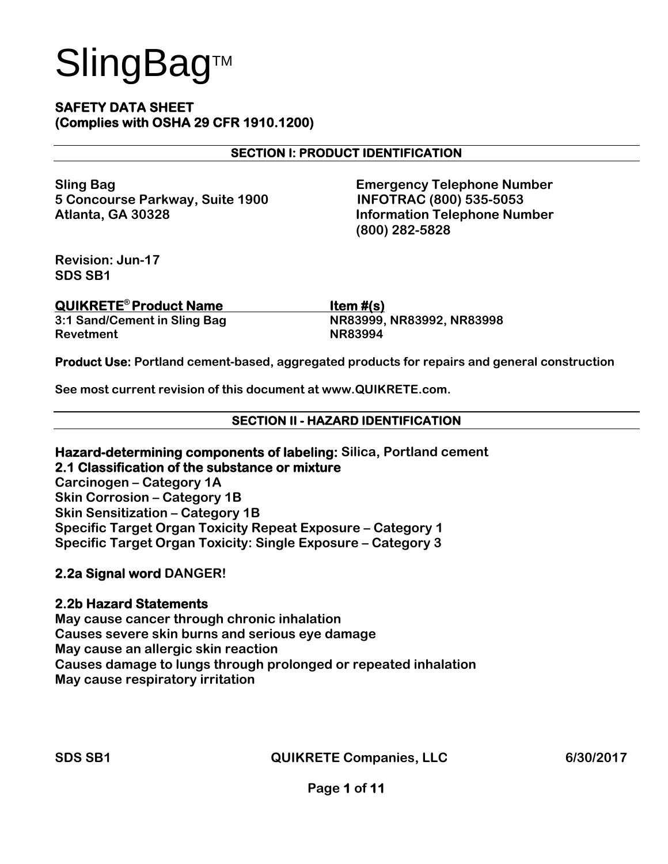#### **SAFETY DATA SHEET (Complies with OSHA 29 CFR 1910.1200)**

#### **SECTION I: PRODUCT IDENTIFICATION**

**5 Concourse Parkway, Suite 1900 INFOTRAC (800) 535-5053 Atlanta, GA 30328 Information Telephone Number** 

**Sling Bag Contract Contract Contract Contract Contract Contract Contract Contract Contract Contract Contract Contract Contract Contract Contract Contract Contract Contract Contract Contract Contract Contract Contract Cont (800) 282-5828** 

**Revision: Jun-17 SDS SB1** 

| <b>QUIKRETE<sup>®</sup> Product Name</b> | Item $#(s)$               |
|------------------------------------------|---------------------------|
| 3:1 Sand/Cement in Sling Bag             | NR83999, NR83992, NR83998 |
| Revetment                                | <b>NR83994</b>            |

**Product Use: Portland cement-based, aggregated products for repairs and general construction** 

**See most current revision of this document at www.QUIKRETE.com.** 

#### **SECTION II - HAZARD IDENTIFICATION**

**Hazard-determining components of labeling: Silica, Portland cement 2.1 Classification of the substance or mixture** 

**Carcinogen – Category 1A Skin Corrosion – Category 1B Skin Sensitization – Category 1B Specific Target Organ Toxicity Repeat Exposure – Category 1 Specific Target Organ Toxicity: Single Exposure – Category 3** 

#### **2.2a Signal word DANGER!**

#### **2.2b Hazard Statements**

**May cause cancer through chronic inhalation Causes severe skin burns and serious eye damage May cause an allergic skin reaction Causes damage to lungs through prolonged or repeated inhalation May cause respiratory irritation**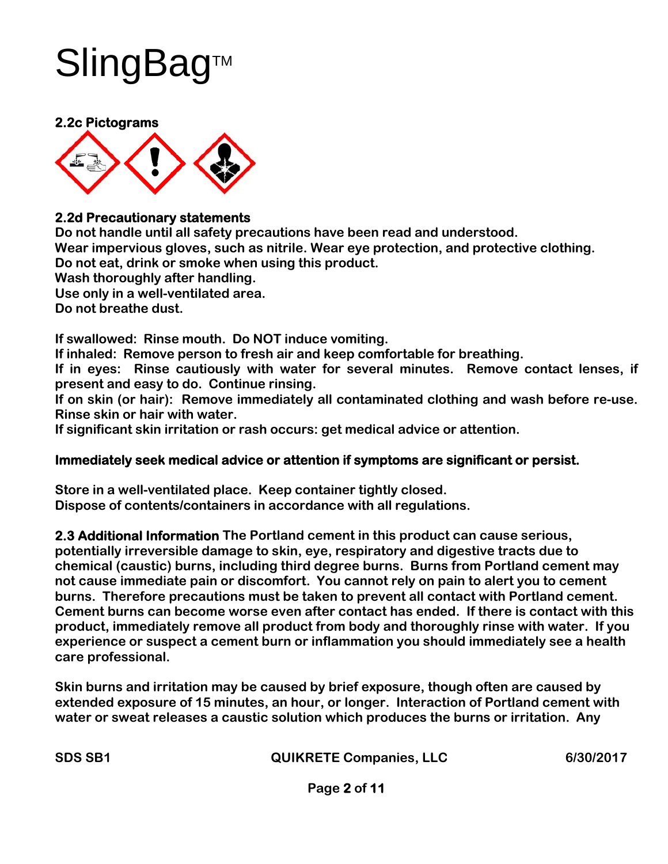#### **2.2c Pictograms**



#### **2.2d Precautionary statements**

**Do not handle until all safety precautions have been read and understood. Wear impervious gloves, such as nitrile. Wear eye protection, and protective clothing. Do not eat, drink or smoke when using this product. Wash thoroughly after handling. Use only in a well-ventilated area. Do not breathe dust.** 

**If swallowed: Rinse mouth. Do NOT induce vomiting.** 

**If inhaled: Remove person to fresh air and keep comfortable for breathing.** 

**If in eyes: Rinse cautiously with water for several minutes. Remove contact lenses, if present and easy to do. Continue rinsing.** 

**If on skin (or hair): Remove immediately all contaminated clothing and wash before re-use. Rinse skin or hair with water.** 

**If significant skin irritation or rash occurs: get medical advice or attention.** 

#### **Immediately seek medical advice or attention if symptoms are significant or persist.**

**Store in a well-ventilated place. Keep container tightly closed. Dispose of contents/containers in accordance with all regulations.** 

**2.3 Additional Information The Portland cement in this product can cause serious, potentially irreversible damage to skin, eye, respiratory and digestive tracts due to chemical (caustic) burns, including third degree burns. Burns from Portland cement may not cause immediate pain or discomfort. You cannot rely on pain to alert you to cement burns. Therefore precautions must be taken to prevent all contact with Portland cement. Cement burns can become worse even after contact has ended. If there is contact with this product, immediately remove all product from body and thoroughly rinse with water. If you experience or suspect a cement burn or inflammation you should immediately see a health care professional.** 

**Skin burns and irritation may be caused by brief exposure, though often are caused by extended exposure of 15 minutes, an hour, or longer. Interaction of Portland cement with water or sweat releases a caustic solution which produces the burns or irritation. Any**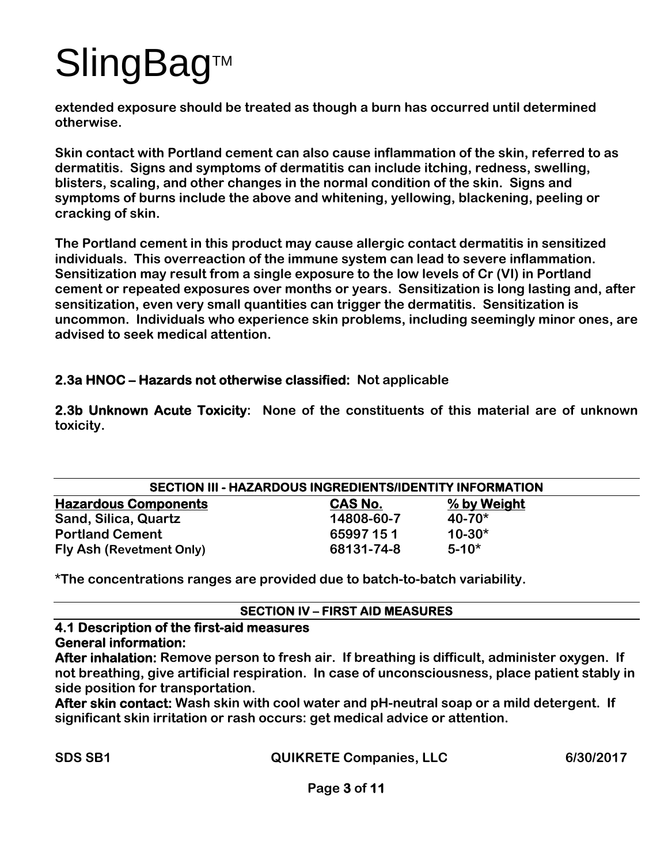**extended exposure should be treated as though a burn has occurred until determined otherwise.** 

**Skin contact with Portland cement can also cause inflammation of the skin, referred to as dermatitis. Signs and symptoms of dermatitis can include itching, redness, swelling, blisters, scaling, and other changes in the normal condition of the skin. Signs and symptoms of burns include the above and whitening, yellowing, blackening, peeling or cracking of skin.** 

**The Portland cement in this product may cause allergic contact dermatitis in sensitized individuals. This overreaction of the immune system can lead to severe inflammation. Sensitization may result from a single exposure to the low levels of Cr (VI) in Portland cement or repeated exposures over months or years. Sensitization is long lasting and, after sensitization, even very small quantities can trigger the dermatitis. Sensitization is uncommon. Individuals who experience skin problems, including seemingly minor ones, are advised to seek medical attention.** 

#### **2.3a HNOC – Hazards not otherwise classified: Not applicable**

**2.3b Unknown Acute Toxicity: None of the constituents of this material are of unknown toxicity.** 

| <b>SECTION III - HAZARDOUS INGREDIENTS/IDENTITY INFORMATION</b> |            |             |  |  |
|-----------------------------------------------------------------|------------|-------------|--|--|
| <b>Hazardous Components</b>                                     | CAS No.    | % by Weight |  |  |
| Sand, Silica, Quartz                                            | 14808-60-7 | $40 - 70*$  |  |  |
| <b>Portland Cement</b>                                          | 65997 151  | $10 - 30*$  |  |  |
| Fly Ash (Revetment Only)                                        | 68131-74-8 | $5 - 10^*$  |  |  |

**\*The concentrations ranges are provided due to batch-to-batch variability.** 

#### **SECTION IV – FIRST AID MEASURES**

### **4.1 Description of the first-aid measures**

**General information:** 

**After inhalation: Remove person to fresh air. If breathing is difficult, administer oxygen. If not breathing, give artificial respiration. In case of unconsciousness, place patient stably in side position for transportation.** 

**After skin contact: Wash skin with cool water and pH-neutral soap or a mild detergent. If significant skin irritation or rash occurs: get medical advice or attention.**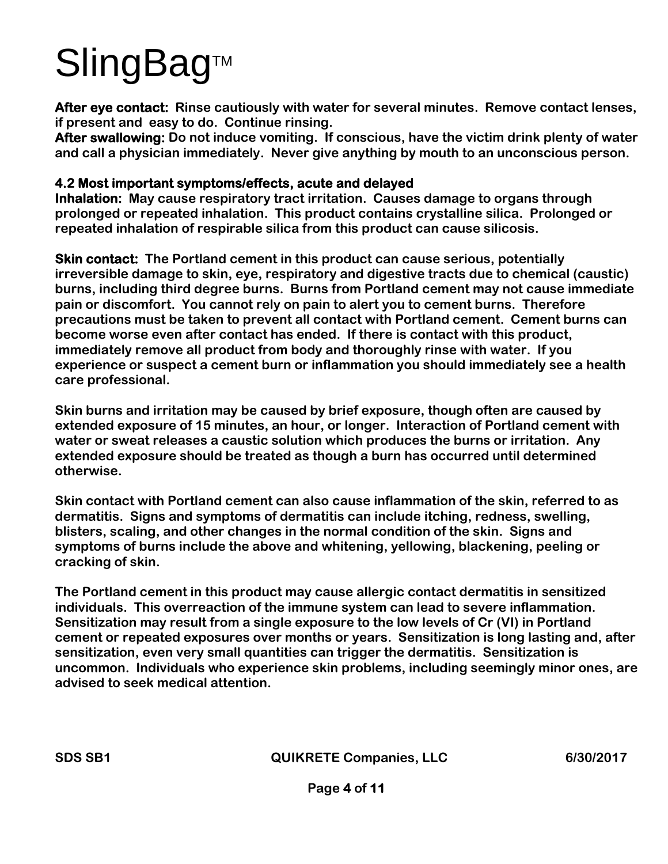**After eye contact: Rinse cautiously with water for several minutes. Remove contact lenses, if present and easy to do. Continue rinsing.** 

**After swallowing: Do not induce vomiting. If conscious, have the victim drink plenty of water and call a physician immediately. Never give anything by mouth to an unconscious person.** 

#### **4.2 Most important symptoms/effects, acute and delayed**

**Inhalation: May cause respiratory tract irritation. Causes damage to organs through prolonged or repeated inhalation. This product contains crystalline silica. Prolonged or repeated inhalation of respirable silica from this product can cause silicosis.** 

**Skin contact: The Portland cement in this product can cause serious, potentially irreversible damage to skin, eye, respiratory and digestive tracts due to chemical (caustic) burns, including third degree burns. Burns from Portland cement may not cause immediate pain or discomfort. You cannot rely on pain to alert you to cement burns. Therefore precautions must be taken to prevent all contact with Portland cement. Cement burns can become worse even after contact has ended. If there is contact with this product, immediately remove all product from body and thoroughly rinse with water. If you experience or suspect a cement burn or inflammation you should immediately see a health care professional.** 

**Skin burns and irritation may be caused by brief exposure, though often are caused by extended exposure of 15 minutes, an hour, or longer. Interaction of Portland cement with water or sweat releases a caustic solution which produces the burns or irritation. Any extended exposure should be treated as though a burn has occurred until determined otherwise.** 

**Skin contact with Portland cement can also cause inflammation of the skin, referred to as dermatitis. Signs and symptoms of dermatitis can include itching, redness, swelling, blisters, scaling, and other changes in the normal condition of the skin. Signs and symptoms of burns include the above and whitening, yellowing, blackening, peeling or cracking of skin.** 

**The Portland cement in this product may cause allergic contact dermatitis in sensitized individuals. This overreaction of the immune system can lead to severe inflammation. Sensitization may result from a single exposure to the low levels of Cr (VI) in Portland cement or repeated exposures over months or years. Sensitization is long lasting and, after sensitization, even very small quantities can trigger the dermatitis. Sensitization is uncommon. Individuals who experience skin problems, including seemingly minor ones, are advised to seek medical attention.**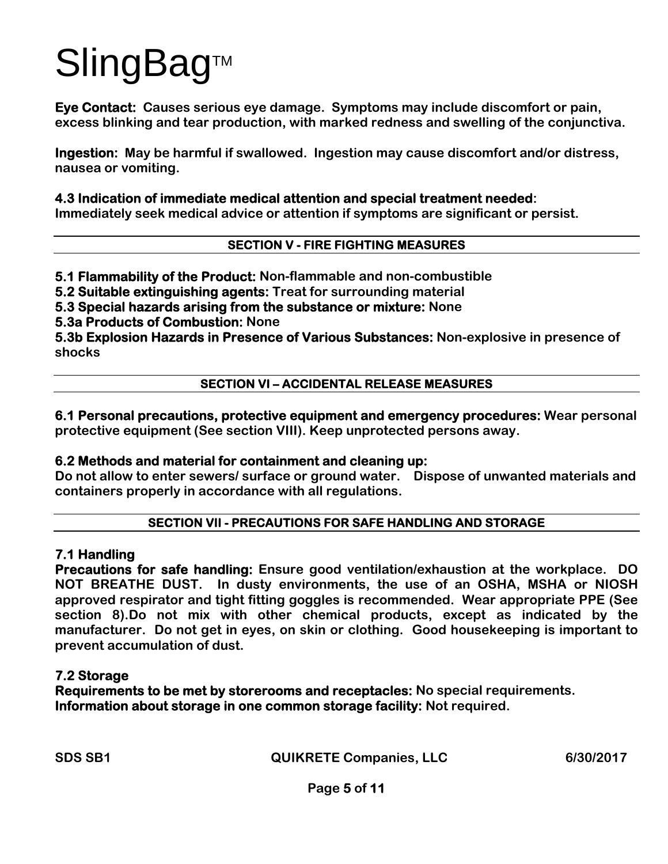**Eye Contact: Causes serious eye damage. Symptoms may include discomfort or pain, excess blinking and tear production, with marked redness and swelling of the conjunctiva.** 

**Ingestion: May be harmful if swallowed. Ingestion may cause discomfort and/or distress, nausea or vomiting.** 

#### **4.3 Indication of immediate medical attention and special treatment needed:**

**Immediately seek medical advice or attention if symptoms are significant or persist.** 

#### **SECTION V - FIRE FIGHTING MEASURES**

**5.1 Flammability of the Product: Non-flammable and non-combustible** 

**5.2 Suitable extinguishing agents: Treat for surrounding material** 

**5.3 Special hazards arising from the substance or mixture: None** 

**5.3a Products of Combustion: None** 

**5.3b Explosion Hazards in Presence of Various Substances: Non-explosive in presence of shocks** 

#### **SECTION VI – ACCIDENTAL RELEASE MEASURES**

**6.1 Personal precautions, protective equipment and emergency procedures: Wear personal protective equipment (See section VIII). Keep unprotected persons away.** 

#### **6.2 Methods and material for containment and cleaning up:**

**Do not allow to enter sewers/ surface or ground water. Dispose of unwanted materials and containers properly in accordance with all regulations.** 

#### **SECTION VII - PRECAUTIONS FOR SAFE HANDLING AND STORAGE**

#### **7.1 Handling**

**Precautions for safe handling: Ensure good ventilation/exhaustion at the workplace. DO NOT BREATHE DUST. In dusty environments, the use of an OSHA, MSHA or NIOSH approved respirator and tight fitting goggles is recommended. Wear appropriate PPE (See section 8).Do not mix with other chemical products, except as indicated by the manufacturer. Do not get in eyes, on skin or clothing. Good housekeeping is important to prevent accumulation of dust.** 

#### **7.2 Storage**

**Requirements to be met by storerooms and receptacles: No special requirements. Information about storage in one common storage facility: Not required.**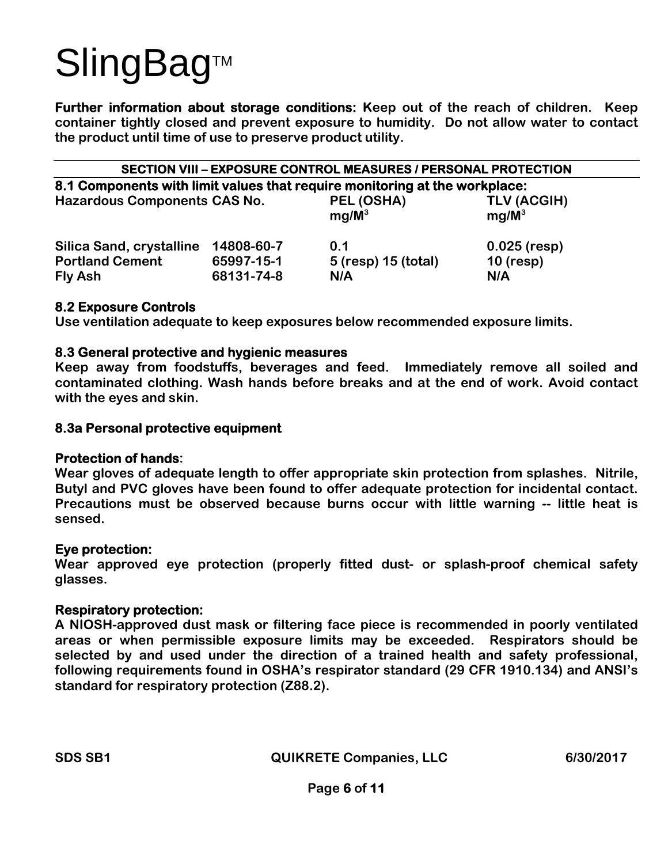**Further information about storage conditions: Keep out of the reach of children. Keep container tightly closed and prevent exposure to humidity. Do not allow water to contact the product until time of use to preserve product utility.** 

| <b>SECTION VIII - EXPOSURE CONTROL MEASURES / PERSONAL PROTECTION</b>      |                          |                            |                         |  |  |  |
|----------------------------------------------------------------------------|--------------------------|----------------------------|-------------------------|--|--|--|
| 8.1 Components with limit values that require monitoring at the workplace: |                          |                            |                         |  |  |  |
| <b>Hazardous Components CAS No.</b>                                        |                          | PEL (OSHA)<br>$mg/M^3$     | TLV (ACGIH)<br>$mg/M^3$ |  |  |  |
| Silica Sand, crystalline                                                   | 14808-60-7               | 0.1                        | $0.025$ (resp)          |  |  |  |
| <b>Portland Cement</b><br>Fly Ash                                          | 65997-15-1<br>68131-74-8 | 5 (resp) 15 (total)<br>N/A | $10$ (resp)<br>N/A      |  |  |  |
|                                                                            |                          |                            |                         |  |  |  |

#### **8.2 Exposure Controls**

**Use ventilation adequate to keep exposures below recommended exposure limits.** 

#### **8.3 General protective and hygienic measures**

**Keep away from foodstuffs, beverages and feed. Immediately remove all soiled and contaminated clothing. Wash hands before breaks and at the end of work. Avoid contact with the eyes and skin.** 

#### **8.3a Personal protective equipment**

#### **Protection of hands:**

**Wear gloves of adequate length to offer appropriate skin protection from splashes. Nitrile, Butyl and PVC gloves have been found to offer adequate protection for incidental contact. Precautions must be observed because burns occur with little warning -- little heat is sensed.** 

#### **Eye protection:**

**Wear approved eye protection (properly fitted dust- or splash-proof chemical safety glasses.** 

#### **Respiratory protection:**

**A NIOSH-approved dust mask or filtering face piece is recommended in poorly ventilated areas or when permissible exposure limits may be exceeded. Respirators should be selected by and used under the direction of a trained health and safety professional, following requirements found in OSHA's respirator standard (29 CFR 1910.134) and ANSI's standard for respiratory protection (Z88.2).**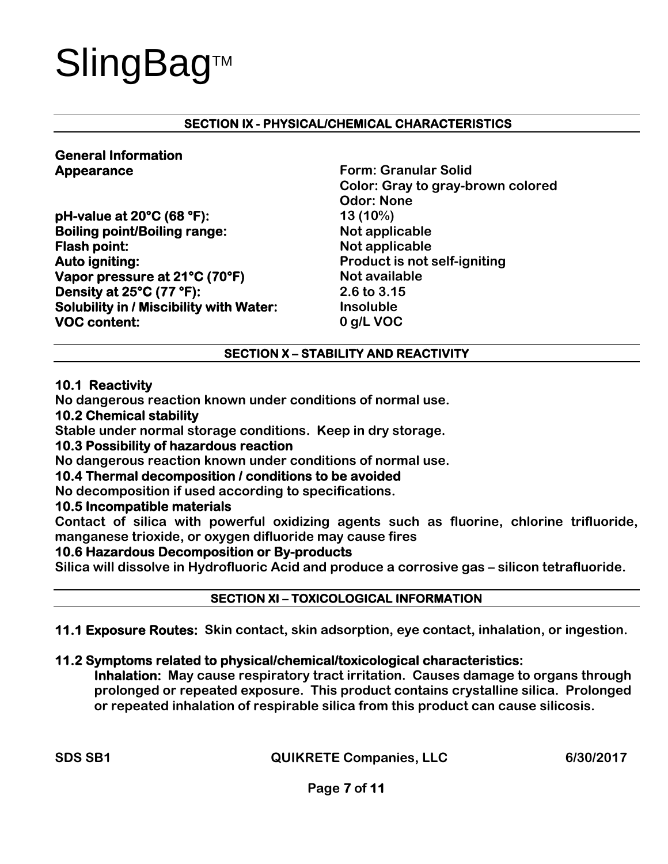#### **SECTION IX - PHYSICAL/CHEMICAL CHARACTERISTICS**

### **General Information**

**pH-value at 20°C (68 °F): 13 (10%) Boiling point/Boiling range:** Not applicable **Flash point:** Not applicable **Auto igniting: Product is not self-igniting Vapor pressure at 21°C (70°F)** Not available **Density at 25°C (77 °F): 2.6 to 3.15 Solubility in / Miscibility with Water:** Insoluble **VOC content: 0 g/L VOC** 

**Appearance Form: Granular Solid <b>Form:** Granular Solid  **Color: Gray to gray-brown colored Odor: None** 

#### **SECTION X – STABILITY AND REACTIVITY**

#### **10.1 Reactivity**

**No dangerous reaction known under conditions of normal use.** 

#### **10.2 Chemical stability**

**Stable under normal storage conditions. Keep in dry storage.** 

#### **10.3 Possibility of hazardous reaction**

**No dangerous reaction known under conditions of normal use.** 

#### **10.4 Thermal decomposition / conditions to be avoided**

**No decomposition if used according to specifications.** 

#### **10.5 Incompatible materials**

**Contact of silica with powerful oxidizing agents such as fluorine, chlorine trifluoride, manganese trioxide, or oxygen difluoride may cause fires** 

#### **10.6 Hazardous Decomposition or By-products**

**Silica will dissolve in Hydrofluoric Acid and produce a corrosive gas – silicon tetrafluoride.** 

#### **SECTION XI – TOXICOLOGICAL INFORMATION**

#### **11.1 Exposure Routes: Skin contact, skin adsorption, eye contact, inhalation, or ingestion.**

#### **11.2 Symptoms related to physical/chemical/toxicological characteristics:**

**Inhalation: May cause respiratory tract irritation. Causes damage to organs through prolonged or repeated exposure. This product contains crystalline silica. Prolonged or repeated inhalation of respirable silica from this product can cause silicosis.**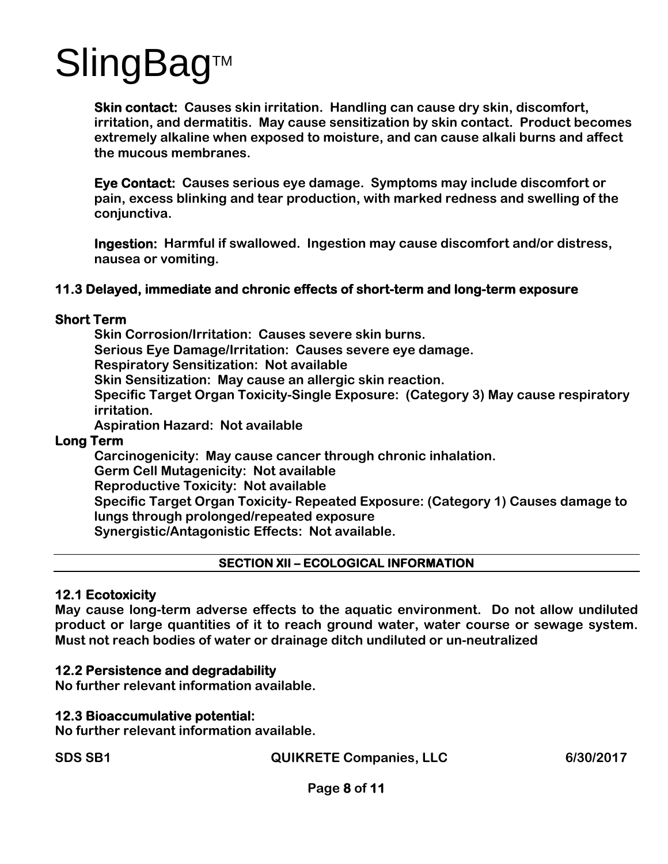**Skin contact: Causes skin irritation. Handling can cause dry skin, discomfort, irritation, and dermatitis. May cause sensitization by skin contact. Product becomes extremely alkaline when exposed to moisture, and can cause alkali burns and affect the mucous membranes.** 

**Eye Contact: Causes serious eye damage. Symptoms may include discomfort or pain, excess blinking and tear production, with marked redness and swelling of the conjunctiva.** 

**Ingestion: Harmful if swallowed. Ingestion may cause discomfort and/or distress, nausea or vomiting.** 

#### **11.3 Delayed, immediate and chronic effects of short-term and long-term exposure**

#### **Short Term**

**Skin Corrosion/Irritation: Causes severe skin burns. Serious Eye Damage/Irritation: Causes severe eye damage. Respiratory Sensitization: Not available Skin Sensitization: May cause an allergic skin reaction. Specific Target Organ Toxicity-Single Exposure: (Category 3) May cause respiratory irritation. Aspiration Hazard: Not available** 

#### **Long Term**

**Carcinogenicity: May cause cancer through chronic inhalation. Germ Cell Mutagenicity: Not available Reproductive Toxicity: Not available Specific Target Organ Toxicity- Repeated Exposure: (Category 1) Causes damage to lungs through prolonged/repeated exposure Synergistic/Antagonistic Effects: Not available.** 

#### **SECTION XII – ECOLOGICAL INFORMATION**

#### **12.1 Ecotoxicity**

**May cause long-term adverse effects to the aquatic environment. Do not allow undiluted product or large quantities of it to reach ground water, water course or sewage system. Must not reach bodies of water or drainage ditch undiluted or un-neutralized** 

#### **12.2 Persistence and degradability**

**No further relevant information available.** 

#### **12.3 Bioaccumulative potential:**

**No further relevant information available.** 

**SDS SB1 QUIKRETE Companies, LLC 6/30/2017** 

**Page 8 of 11**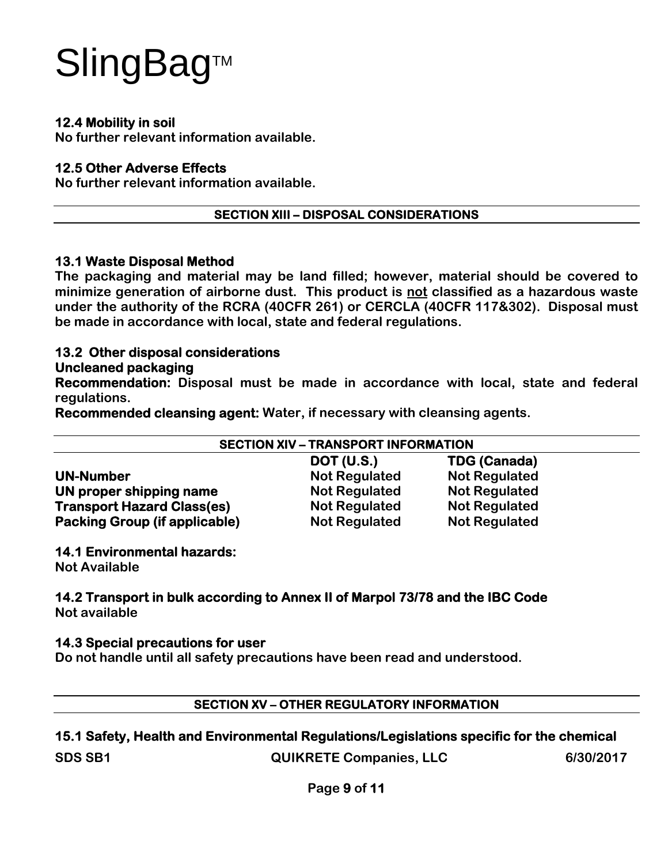#### **12.4 Mobility in soil**

**No further relevant information available.** 

#### **12.5 Other Adverse Effects**

**No further relevant information available.** 

#### **SECTION XIII – DISPOSAL CONSIDERATIONS**

#### **13.1 Waste Disposal Method**

**The packaging and material may be land filled; however, material should be covered to minimize generation of airborne dust. This product is not classified as a hazardous waste under the authority of the RCRA (40CFR 261) or CERCLA (40CFR 117&302). Disposal must be made in accordance with local, state and federal regulations.** 

#### **13.2 Other disposal considerations**

#### **Uncleaned packaging**

**Recommendation: Disposal must be made in accordance with local, state and federal regulations.** 

**Recommended cleansing agent: Water, if necessary with cleansing agents.** 

| <b>SECTION XIV - TRANSPORT INFORMATION</b> |                      |                      |  |  |
|--------------------------------------------|----------------------|----------------------|--|--|
|                                            | <b>DOT (U.S.)</b>    | <b>TDG (Canada)</b>  |  |  |
| <b>UN-Number</b>                           | <b>Not Regulated</b> | <b>Not Regulated</b> |  |  |
| UN proper shipping name                    | <b>Not Regulated</b> | <b>Not Regulated</b> |  |  |
| <b>Transport Hazard Class(es)</b>          | <b>Not Regulated</b> | <b>Not Regulated</b> |  |  |
| <b>Packing Group (if applicable)</b>       | <b>Not Regulated</b> | <b>Not Regulated</b> |  |  |

#### **14.1 Environmental hazards:**

**Not Available** 

#### **14.2 Transport in bulk according to Annex II of Marpol 73/78 and the IBC Code Not available**

#### **14.3 Special precautions for user**

**Do not handle until all safety precautions have been read and understood.** 

#### **SECTION XV – OTHER REGULATORY INFORMATION**

#### **15.1 Safety, Health and Environmental Regulations/Legislations specific for the chemical**

**SDS SB1 QUIKRETE Companies, LLC 6/30/2017** 

**Page 9 of 11**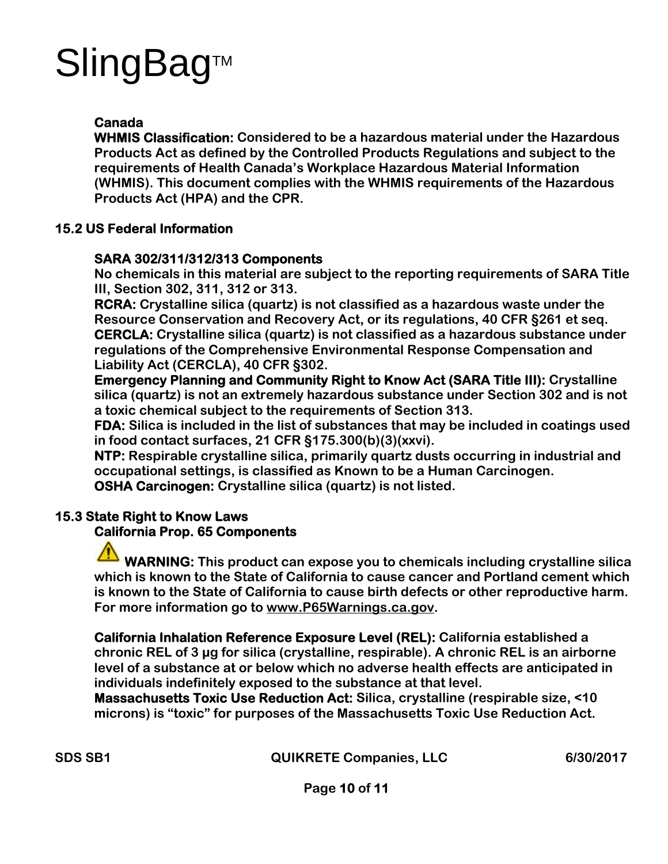#### **Canada**

**WHMIS Classification: Considered to be a hazardous material under the Hazardous Products Act as defined by the Controlled Products Regulations and subject to the requirements of Health Canada's Workplace Hazardous Material Information (WHMIS). This document complies with the WHMIS requirements of the Hazardous Products Act (HPA) and the CPR.** 

#### **15.2 US Federal Information**

#### **SARA 302/311/312/313 Components**

**No chemicals in this material are subject to the reporting requirements of SARA Title III, Section 302, 311, 312 or 313.** 

**RCRA: Crystalline silica (quartz) is not classified as a hazardous waste under the Resource Conservation and Recovery Act, or its regulations, 40 CFR §261 et seq. CERCLA: Crystalline silica (quartz) is not classified as a hazardous substance under regulations of the Comprehensive Environmental Response Compensation and Liability Act (CERCLA), 40 CFR §302.** 

**Emergency Planning and Community Right to Know Act (SARA Title III): Crystalline silica (quartz) is not an extremely hazardous substance under Section 302 and is not a toxic chemical subject to the requirements of Section 313.** 

**FDA: Silica is included in the list of substances that may be included in coatings used in food contact surfaces, 21 CFR §175.300(b)(3)(xxvi).** 

**NTP: Respirable crystalline silica, primarily quartz dusts occurring in industrial and occupational settings, is classified as Known to be a Human Carcinogen. OSHA Carcinogen: Crystalline silica (quartz) is not listed.** 

#### **15.3 State Right to Know Laws**

#### **California Prop. 65 Components**

**WARNING: This product can expose you to chemicals including crystalline silica which is known to the State of California to cause cancer and Portland cement which is known to the State of California to cause birth defects or other reproductive harm. For more information go to www.P65Warnings.ca.gov.**

**California Inhalation Reference Exposure Level (REL): California established a chronic REL of 3 μg for silica (crystalline, respirable). A chronic REL is an airborne level of a substance at or below which no adverse health effects are anticipated in individuals indefinitely exposed to the substance at that level.** 

**Massachusetts Toxic Use Reduction Act: Silica, crystalline (respirable size, <10 microns) is "toxic" for purposes of the Massachusetts Toxic Use Reduction Act.**